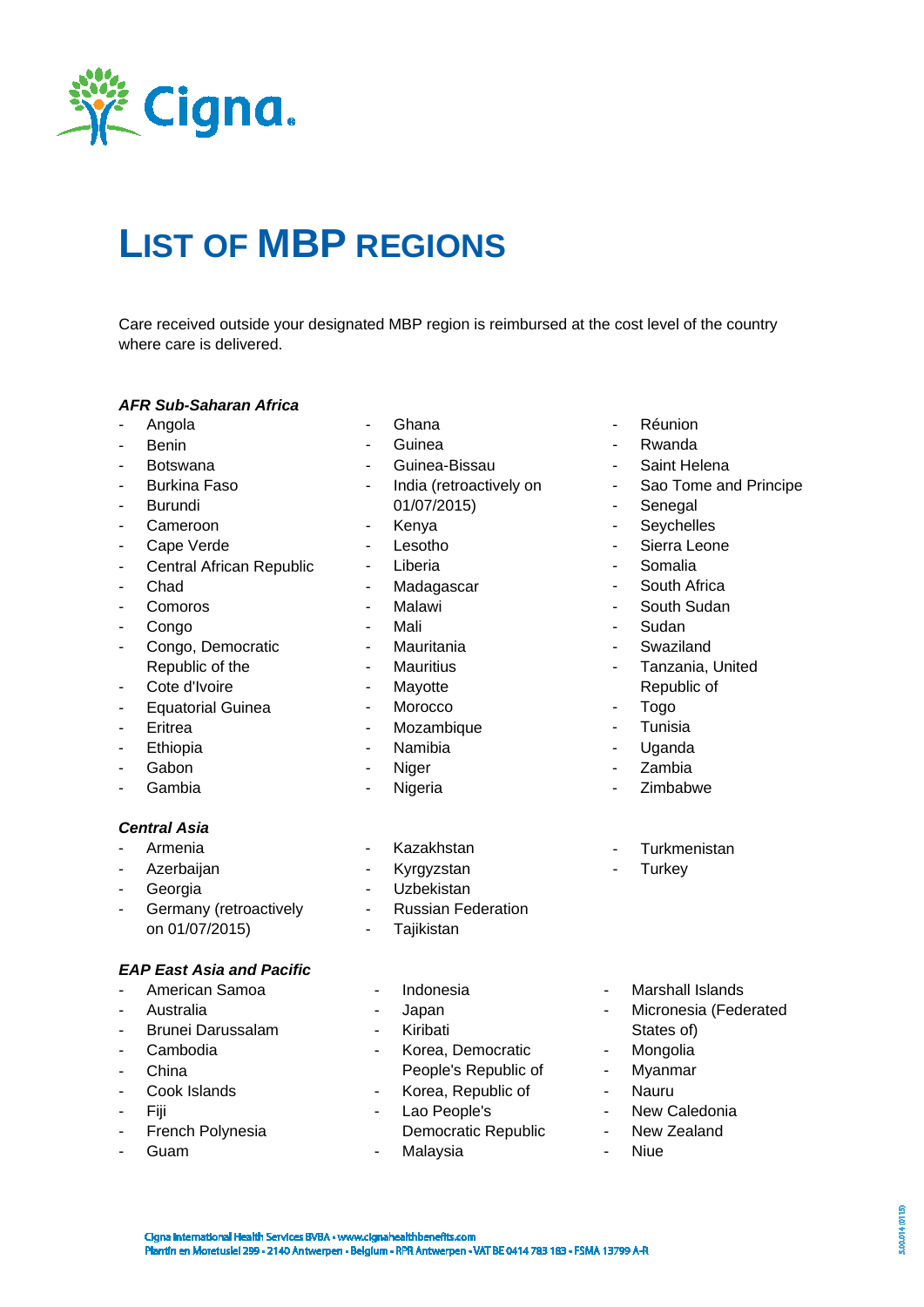

# **LIST OF MBP REGIONS**

Care received outside your designated MBP region is reimbursed at the cost level of the country where care is delivered.

#### *AFR Sub-Saharan Africa*

- Angola
- Benin
- Botswana
- Burkina Faso
- **Burundi**
- Cameroon
- Cape Verde
- Central African Republic
- Chad
- Comoros
- Congo
- Congo, Democratic Republic of the
- Cote d'Ivoire
- Equatorial Guinea
- Eritrea
- Ethiopia
- Gabon
- Gambia

#### *Central Asia*

- Armenia
- **Azerbaijan**
- **Georgia**
- Germany (retroactively on 01/07/2015)

#### *EAP East Asia and Pacific*

- American Samoa
- **Australia**
- Brunei Darussalam
- Cambodia
- **China**
- Cook Islands
- Fiji
- French Polynesia
- Guam
- **Ghana**
- **Guinea**
- Guinea-Bissau
- India (retroactively on 01/07/2015)
- Kenya
- Lesotho
- Liberia
- Madagascar
- Malawi
- Mali
- Mauritania
- Mauritius
- Mayotte
- Morocco
- Mozambique
- Namibia
- Niger
- Nigeria
- Kazakhstan
- **Kyrgyzstan**
- **Uzbekistan**
- Russian Federation
- Tajikistan
- **Indonesia**
- Japan
- Kiribati
- Korea, Democratic
- People's Republic of - Korea, Republic of
- Lao People's
- Democratic Republic Malaysia
- Réunion
- **Rwanda**
- Saint Helena
- Sao Tome and Principe
- **Senegal**
- Seychelles
- Sierra Leone
- Somalia
- South Africa
- South Sudan
- Sudan
- Swaziland
- Tanzania, United Republic of
- Togo
- Tunisia
- Uganda
- **Zambia**
- Zimbabwe
- Turkmenistan
- **Turkey**
- Marshall Islands
- Micronesia (Federated States of)
- Mongolia
- Myanmar
- Nauru
- New Caledonia
- New Zealand
- Niue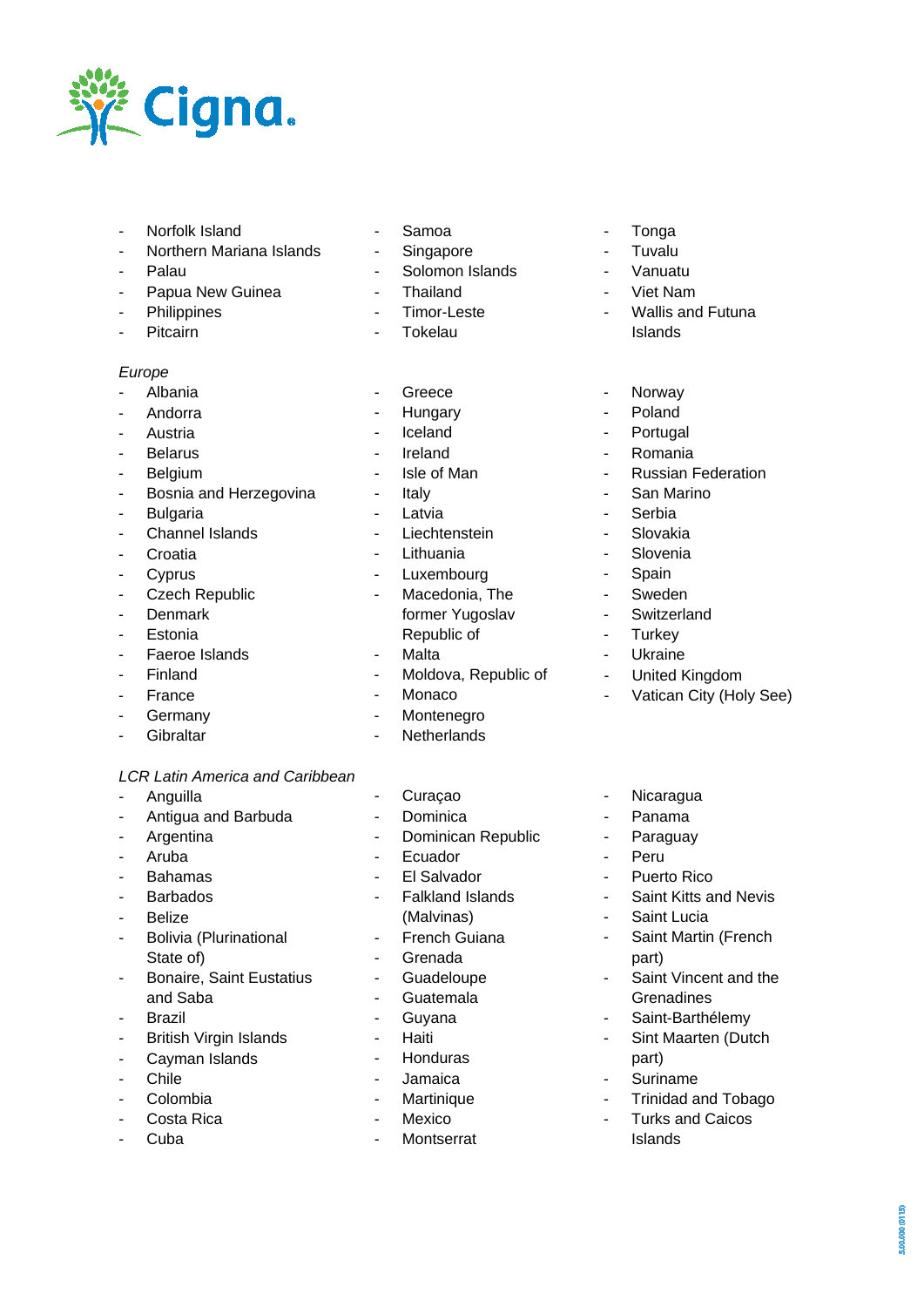

- Norfolk Island
- Northern Mariana Islands
- Palau
- Papua New Guinea
- **Philippines**
- Pitcairn

#### *Europe*

- Albania
- **Andorra**
- **Austria**
- **Belarus**
- Belgium
- Bosnia and Herzegovina
- **Bulgaria**
- Channel Islands
- **Croatia**
- Cyprus
- Czech Republic
- Denmark
- **Estonia**
- Faeroe Islands
- Finland
- France
- **Germany**
- Gibraltar

#### *LCR Latin America and Caribbean*

- Anguilla
- Antigua and Barbuda
- **Argentina**
- Aruba
- Bahamas
- **Barbados**
- Belize
- Bolivia (Plurinational State of)
- Bonaire, Saint Eustatius and Saba
- Brazil
- British Virgin Islands
- Cayman Islands
- Chile
- Colombia
- Costa Rica
- Cuba
- Samoa
- Singapore
- Solomon Islands
- Thailand
- Timor-Leste
- **Tokelau**
- **Greece**
- Hungary
- **Iceland**
- Ireland
- Isle of Man
- **Italy**
- **Latvia**
- **Liechtenstein**
- **Lithuania**
- Luxembourg
- Macedonia, The former Yugoslav Republic of
- Malta
- Moldova, Republic of
- Monaco
- **Montenegro**
- Netherlands
- Curaçao
- Dominica
- Dominican Republic
- Ecuador
- El Salvador
- Falkland Islands (Malvinas)
- French Guiana
- **Grenada**
- Guadeloupe
- Guatemala
- Guyana
- **Haiti**
- Honduras
- Jamaica
- **Martinique**
- Mexico
- **Montserrat**
- Tonga
- Tuvalu
- Vanuatu<br>- Viet New
- Viet Nam
- Wallis and Futuna Islands
- **Norway**
- Poland
- Portugal
- Romania
- Russian Federation
- San Marino
- **Serbia**
- **Slovakia**
- Slovenia
- Spain
- **Sweden**
- Switzerland

**Ukraine** - United Kingdom

- Nicaragua - Panama **Paraguay** 

- Saint Lucia

part)

part) - Suriname

- Peru - Puerto Rico

- Vatican City (Holy See)

- Saint Kitts and Nevis

- Saint Martin (French

- Saint Vincent and the **Grenadines** - Saint-Barthélemy - Sint Maarten (Dutch

- Trinidad and Tobago

00.000 (0115)

- Turks and Caicos Islands

- Turkey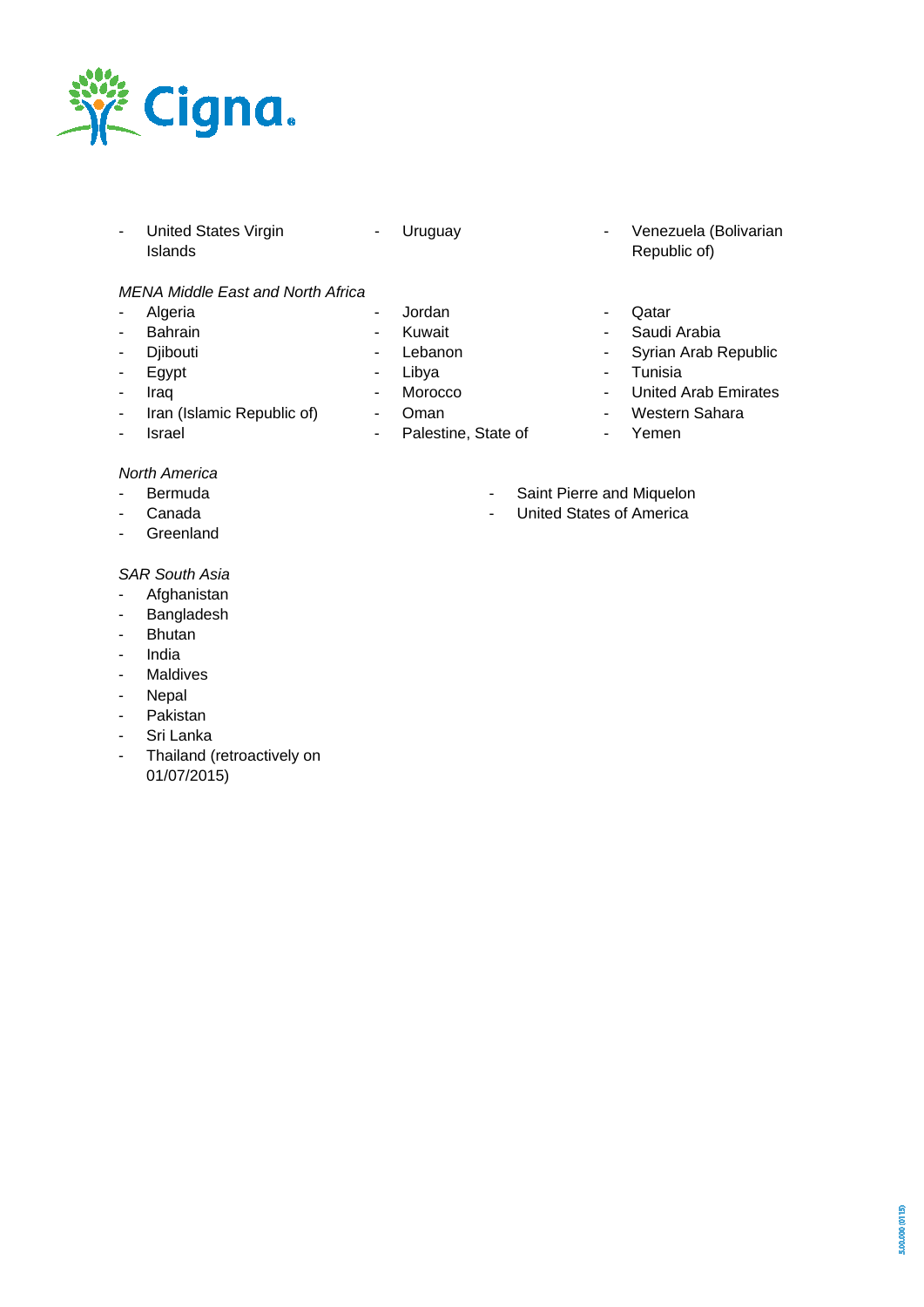

- United States Virgin Islands

- Jordan - Kuwait - Lebanon - Libya - Morocco - Oman

- Palestine, State of

- *MENA Middle East and North Africa*
- Algeria
- Bahrain
- Diibouti
- Egypt
- Iraq
- Iran (Islamic Republic of)
- Israel

## *North America*

- Bermuda
- Canada
- Greenland
- 

### *SAR South Asia*

- Afghanistan
- Bangladesh
- Bhutan
- India
- Maldives
- Nepal
- Pakistan
- Sri Lanka
- Thailand (retroactively on 01/07/2015)
- Uruguay Venezuela (Bolivarian Republic of)
	- Qatar
	- Saudi Arabia
	- Syrian Arab Republic
	- Tunisia
	- United Arab Emirates
	- Western Sahara
	- Yemen
	- Saint Pierre and Miquelon
	- United States of America